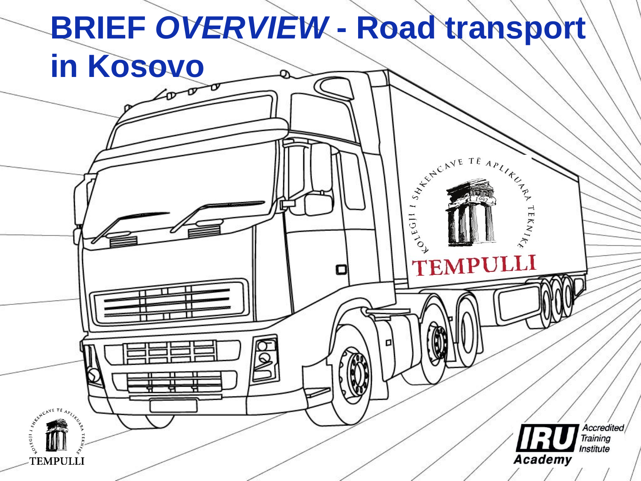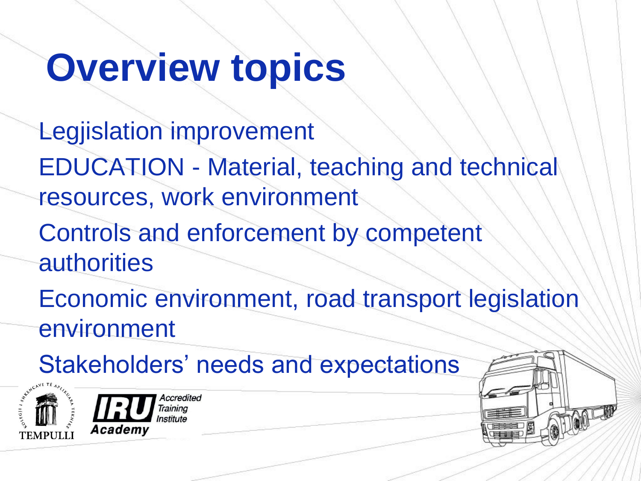## **Overview topics**

Legjislation improvement EDUCATION - Material, teaching and technical resources, work environment Controls and enforcement by competent authorities

Economic environment, road transport legislation environment

Stakeholders' needs and expectations



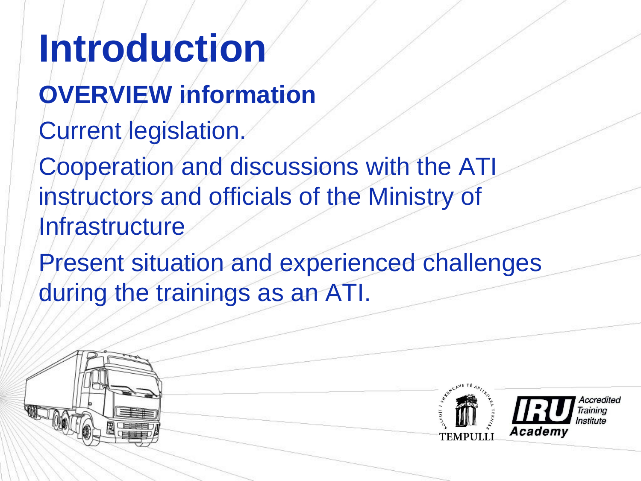**Introduction OVERVIEW information**  Current legislation. Cooperation and discussions with the ATI instructors and officials of the Ministry of **Infrastructure** 

Present situation and experienced challenges during the trainings as an ATI.

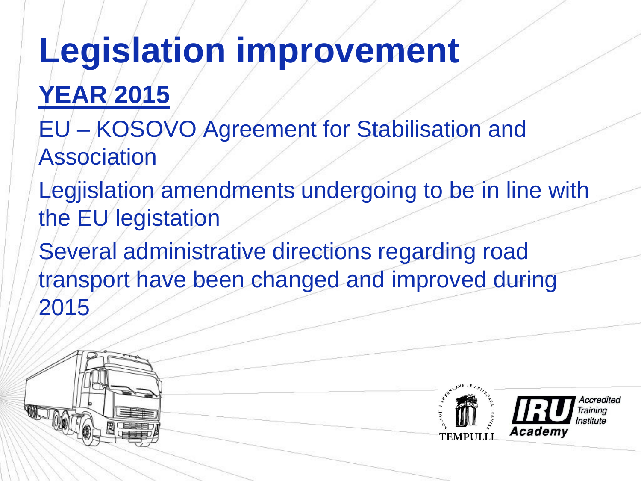# **Legislation improvement**

**YEAR 2015**

- EU KOSOVO Agreement for Stabilisation and Association
- Legjislation amendments undergoing to be in line with the EU legistation
- Several administrative directions regarding road transport have been changed and improved during 2015

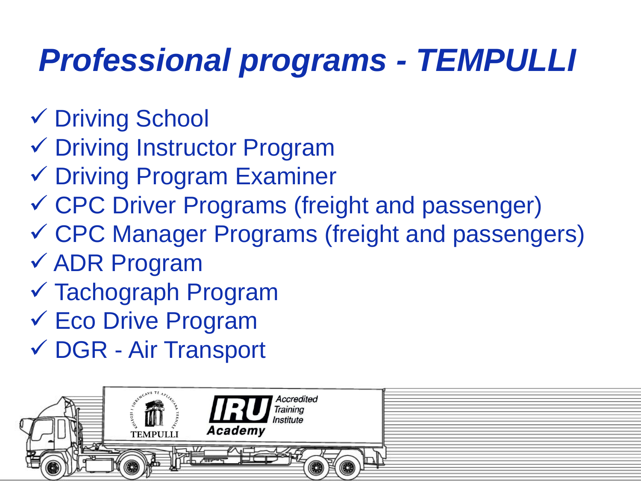### *Professional programs - TEMPULLI*

- Driving School
- Driving Instructor Program
- Driving Program Examiner
- CPC Driver Programs (freight and passenger)
- CPC Manager Programs (freight and passengers)
- ADR Program
- Tachograph Program
- $\checkmark$  Eco Drive Program
- DGR Air Transport

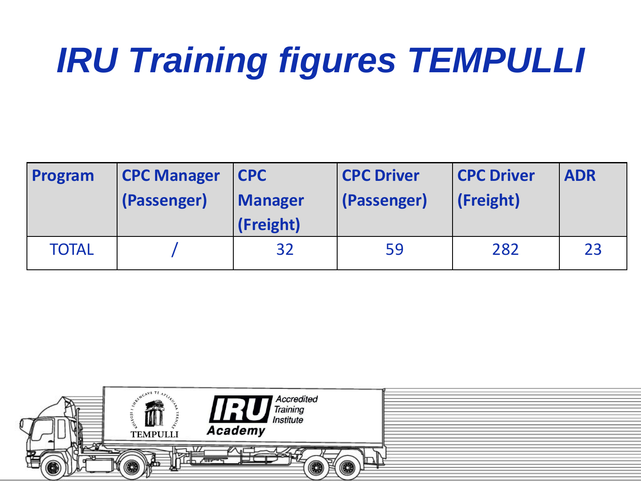# *IRU Training figures TEMPULLI*

| Program      | <b>CPC Manager</b><br>(Passenger) | <b>CPC</b><br><b>Manager</b><br>(Freight) | <b>CPC Driver</b><br>(Passenger) | <b>CPC Driver</b><br>(Freight) | <b>ADR</b> |
|--------------|-----------------------------------|-------------------------------------------|----------------------------------|--------------------------------|------------|
| <b>TOTAL</b> |                                   | 32                                        | 59                               | 282                            | 23         |

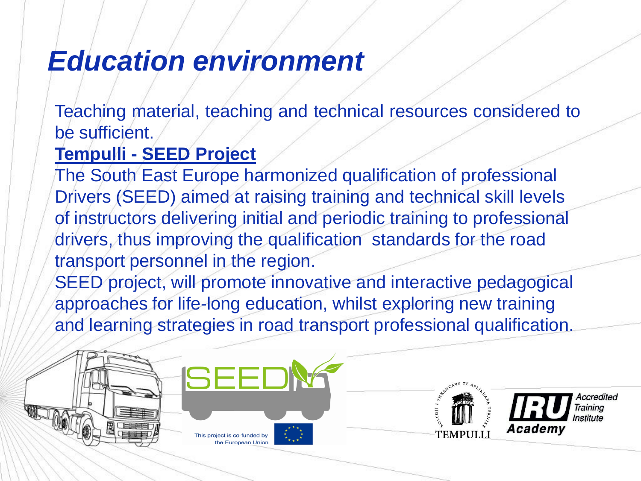#### *Education environment*

Teaching material, teaching and technical resources considered to be sufficient.

#### **Tempulli - SEED Project**

The South East Europe harmonized qualification of professional Drivers (SEED) aimed at raising training and technical skill levels of instructors delivering initial and periodic training to professional drivers, thus improving the qualification standards for the road transport personnel in the region.

SEED project, will promote innovative and interactive pedagogical approaches for life-long education, whilst exploring new training and learning strategies in road transport professional qualification.

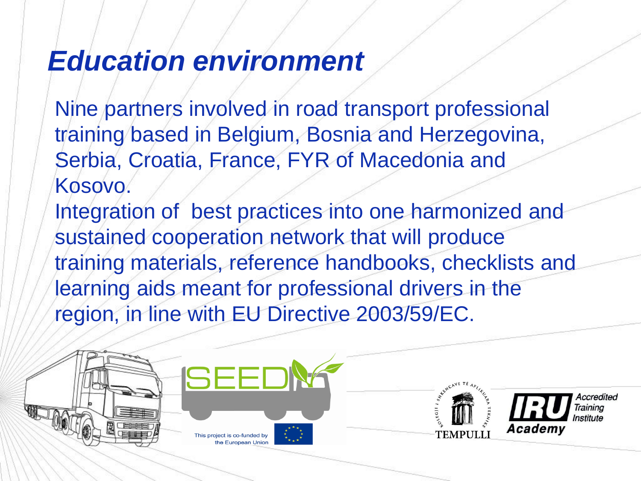### *Education environment*

Nine partners involved in road transport professional training based in Belgium, Bosnia and Herzegovina, Serbia, Croatia, France, FYR of Macedonia and Kosovo. Integration of best practices into one harmonized and sustained cooperation network that will produce training materials, reference handbooks, checklists and learning aids meant for professional drivers in the region, in line with EU Directive 2003/59/EC.

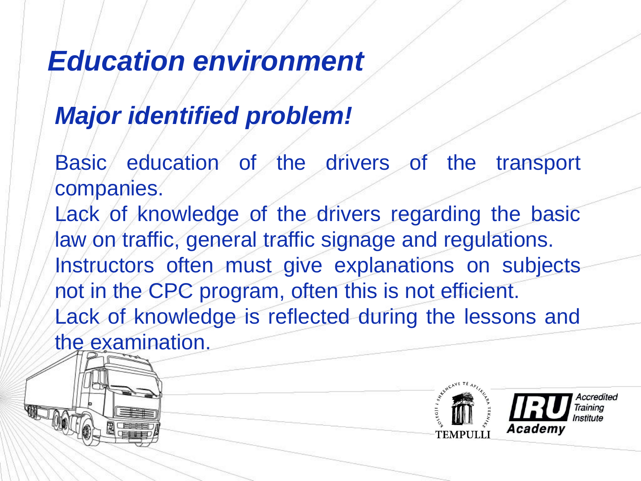### *Education environment*

#### *Major identified problem!*

Basic education of the drivers of the transport companies. Lack of knowledge of the drivers regarding the basic law on traffic, general traffic signage and regulations. Instructors often must give explanations on subjects not in the CPC program, often this is not efficient. Lack of knowledge is reflected during the lessons and the examination.



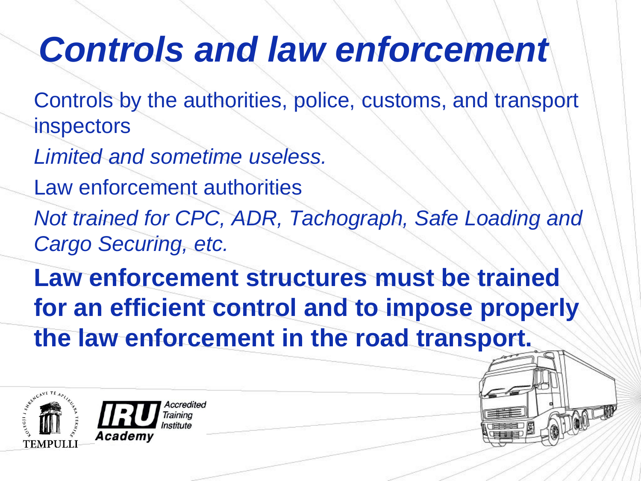### *Controls and law enforcement*

Controls by the authorities, police, customs, and transport inspectors

*Limited and sometime useless.* 

Law enforcement authorities

*Not trained for CPC, ADR, Tachograph, Safe Loading and Cargo Securing, etc.* 

**Law enforcement structures must be trained for an efficient control and to impose properly the law enforcement in the road transport.** 

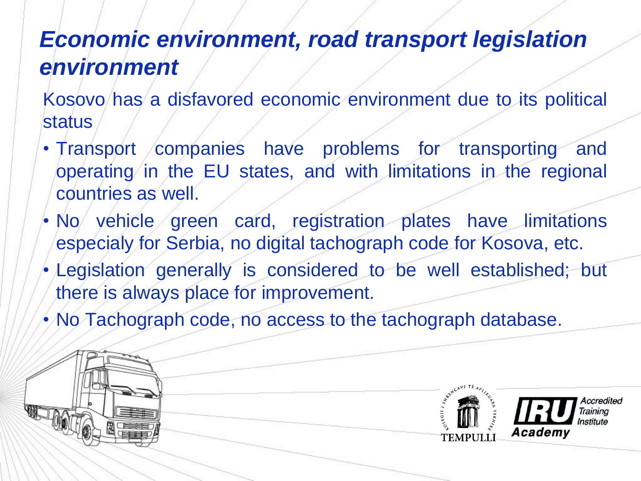#### *Economic environment, road transport legislation environment*

Kosovo has a disfavored economic environment due to its political status

- Transport companies have problems for transporting and operating in the EU states, and with limitations in the regional countries as well.
- No vehicle green card, registration plates have limitations especialy for Serbia, no digital tachograph code for Kosova, etc.
- Legislation generally is considered to be well established; but there is always place for improvement.
- No Tachograph code, no access to the tachograph database.

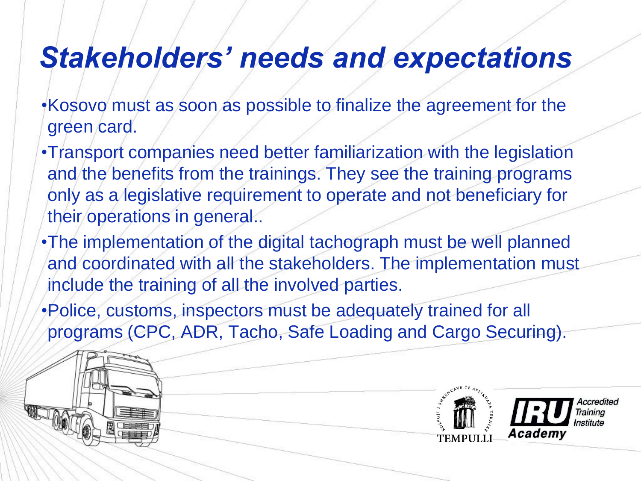### *Stakeholders' needs and expectations*

- •Kosovo must as soon as possible to finalize the agreement for the green card.
- •Transport companies need better familiarization with the legislation and the benefits from the trainings. They see the training programs only as a legislative requirement to operate and not beneficiary for their operations in general..
- •The implementation of the digital tachograph must be well planned and coordinated with all the stakeholders. The implementation must include the training of all the involved parties.
- •Police, customs, inspectors must be adequately trained for all programs (CPC, ADR, Tacho, Safe Loading and Cargo Securing).